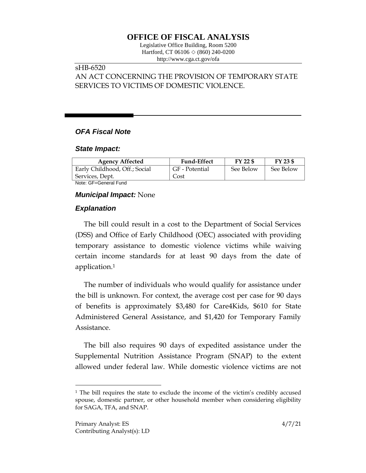# **OFFICE OF FISCAL ANALYSIS**

Legislative Office Building, Room 5200 Hartford, CT 06106 ◇ (860) 240-0200 http://www.cga.ct.gov/ofa

## sHB-6520

# AN ACT CONCERNING THE PROVISION OF TEMPORARY STATE SERVICES TO VICTIMS OF DOMESTIC VIOLENCE.

### *OFA Fiscal Note*

#### *State Impact:*

| <b>Agency Affected</b>        | <b>Fund-Effect</b> | FY 22 \$  | FY 23 \$  |
|-------------------------------|--------------------|-----------|-----------|
| Early Childhood, Off.; Social | GF - Potential     | See Below | See Below |
| Services, Dept.               | Cost               |           |           |
| Nota: OF Conoral Fund         |                    |           |           |

Note: GF=General Fund

#### *Municipal Impact:* None

### *Explanation*

The bill could result in a cost to the Department of Social Services (DSS) and Office of Early Childhood (OEC) associated with providing temporary assistance to domestic violence victims while waiving certain income standards for at least 90 days from the date of application.<sup>1</sup>

The number of individuals who would qualify for assistance under the bill is unknown. For context, the average cost per case for 90 days of benefits is approximately \$3,480 for Care4Kids, \$610 for State Administered General Assistance, and \$1,420 for Temporary Family Assistance.

The bill also requires 90 days of expedited assistance under the Supplemental Nutrition Assistance Program (SNAP) to the extent allowed under federal law. While domestic violence victims are not

 $\overline{a}$ 

<sup>1</sup> The bill requires the state to exclude the income of the victim's credibly accused spouse, domestic partner, or other household member when considering eligibility for SAGA, TFA, and SNAP.